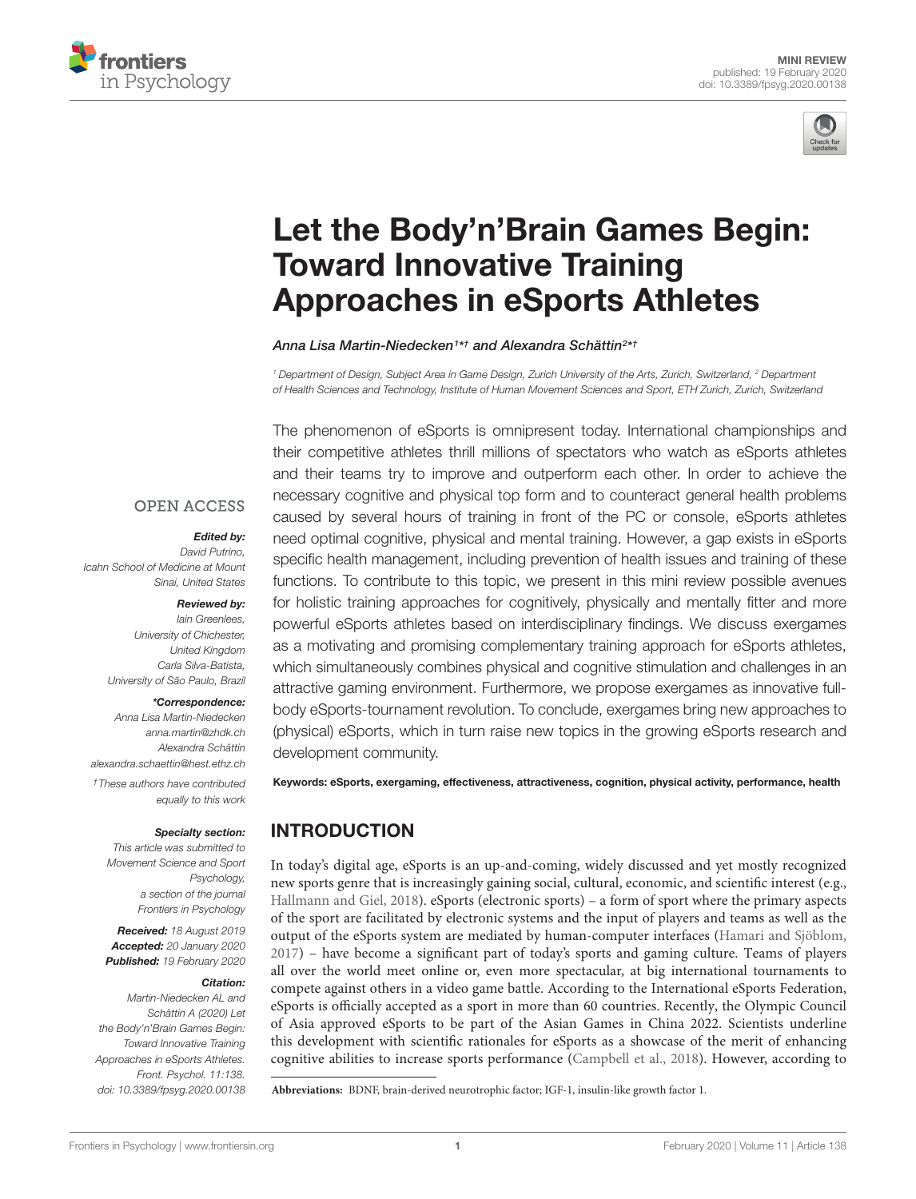



# [Let the Body'n'Brain Games Begin:](https://www.frontiersin.org/articles/10.3389/fpsyg.2020.00138/full) Toward Innovative Training Approaches in eSports Athletes

[Anna Lisa Martin-Niedecken](http://loop.frontiersin.org/people/858431/overview)1\*† and [Alexandra Schättin](http://loop.frontiersin.org/people/349952/overview)<sup>2\*†</sup>

<sup>1</sup> Department of Design, Subject Area in Game Design, Zurich University of the Arts, Zurich, Switzerland, <sup>2</sup> Department of Health Sciences and Technology, Institute of Human Movement Sciences and Sport, ETH Zurich, Zurich, Switzerland

**OPEN ACCESS** 

#### Edited by:

David Putrino, Icahn School of Medicine at Mount Sinai, United States

#### Reviewed by:

Iain Greenlees, University of Chichester, United Kingdom Carla Silva-Batista, University of São Paulo, Brazil

#### \*Correspondence:

Anna Lisa Martin-Niedecken anna.martin@zhdk.ch Alexandra Schättin alexandra.schaettin@hest.ethz.ch †These authors have contributed equally to this work

#### Specialty section:

This article was submitted to Movement Science and Sport Psychology, a section of the journal Frontiers in Psychology

Received: 18 August 2019 Accepted: 20 January 2020 Published: 19 February 2020

#### Citation:

Martin-Niedecken AL and Schättin A (2020) Let the Body'n'Brain Games Begin: Toward Innovative Training Approaches in eSports Athletes. Front. Psychol. 11:138. doi: [10.3389/fpsyg.2020.00138](https://doi.org/10.3389/fpsyg.2020.00138) The phenomenon of eSports is omnipresent today. International championships and their competitive athletes thrill millions of spectators who watch as eSports athletes and their teams try to improve and outperform each other. In order to achieve the necessary cognitive and physical top form and to counteract general health problems caused by several hours of training in front of the PC or console, eSports athletes need optimal cognitive, physical and mental training. However, a gap exists in eSports specific health management, including prevention of health issues and training of these functions. To contribute to this topic, we present in this mini review possible avenues for holistic training approaches for cognitively, physically and mentally fitter and more powerful eSports athletes based on interdisciplinary findings. We discuss exergames as a motivating and promising complementary training approach for eSports athletes, which simultaneously combines physical and cognitive stimulation and challenges in an attractive gaming environment. Furthermore, we propose exergames as innovative fullbody eSports-tournament revolution. To conclude, exergames bring new approaches to (physical) eSports, which in turn raise new topics in the growing eSports research and development community.

Keywords: eSports, exergaming, effectiveness, attractiveness, cognition, physical activity, performance, health

# INTRODUCTION

In today's digital age, eSports is an up-and-coming, widely discussed and yet mostly recognized new sports genre that is increasingly gaining social, cultural, economic, and scientific interest (e.g., [Hallmann and Giel,](#page-6-0) [2018\)](#page-6-0). eSports (electronic sports) – a form of sport where the primary aspects of the sport are facilitated by electronic systems and the input of players and teams as well as the output of the eSports system are mediated by human-computer interfaces [\(Hamari and Sjöblom,](#page-6-1) [2017\)](#page-6-1) – have become a significant part of today's sports and gaming culture. Teams of players all over the world meet online or, even more spectacular, at big international tournaments to compete against others in a video game battle. According to the International eSports Federation, eSports is officially accepted as a sport in more than 60 countries. Recently, the Olympic Council of Asia approved eSports to be part of the Asian Games in China 2022. Scientists underline this development with scientific rationales for eSports as a showcase of the merit of enhancing cognitive abilities to increase sports performance [\(Campbell et al.,](#page-6-2) [2018\)](#page-6-2). However, according to

**Abbreviations:** BDNF, brain-derived neurotrophic factor; IGF-1, insulin-like growth factor 1.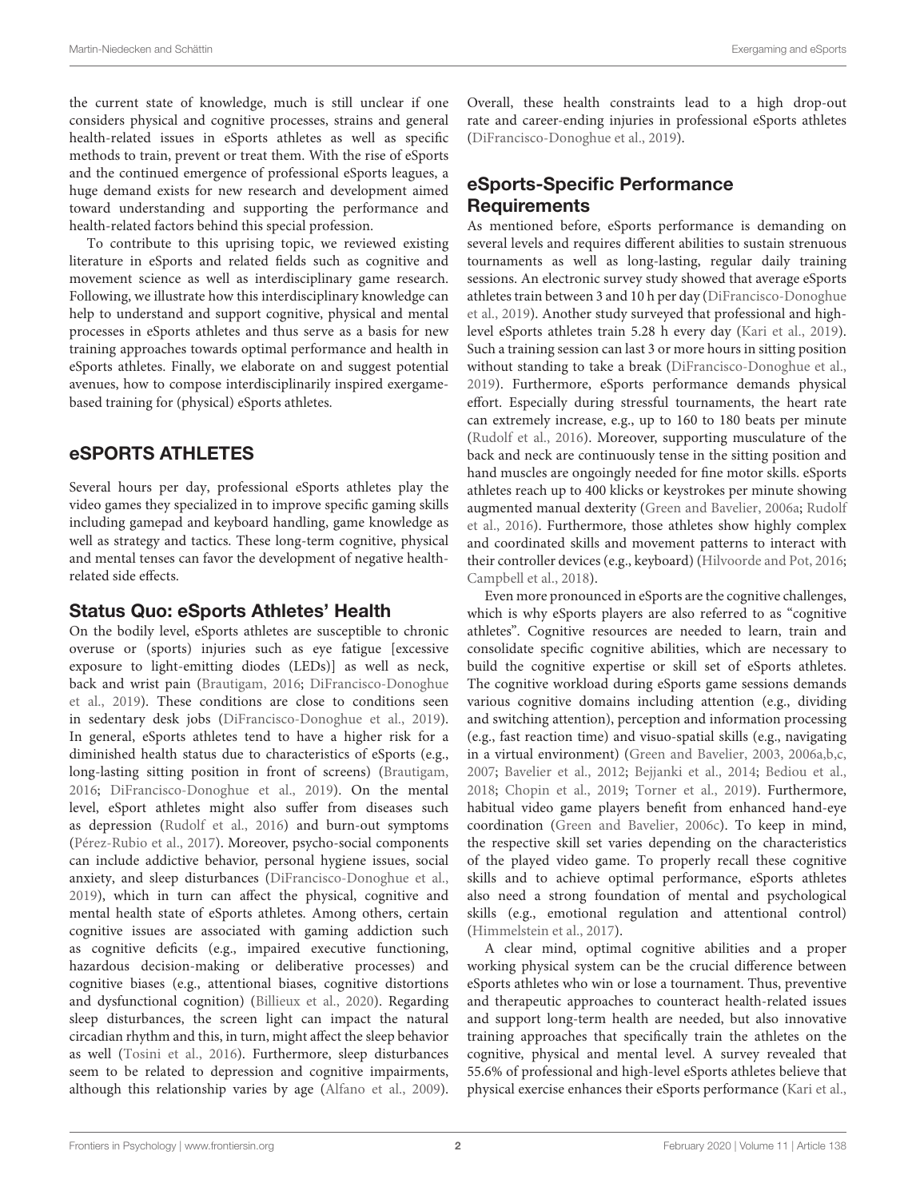the current state of knowledge, much is still unclear if one considers physical and cognitive processes, strains and general health-related issues in eSports athletes as well as specific methods to train, prevent or treat them. With the rise of eSports and the continued emergence of professional eSports leagues, a huge demand exists for new research and development aimed toward understanding and supporting the performance and health-related factors behind this special profession.

To contribute to this uprising topic, we reviewed existing literature in eSports and related fields such as cognitive and movement science as well as interdisciplinary game research. Following, we illustrate how this interdisciplinary knowledge can help to understand and support cognitive, physical and mental processes in eSports athletes and thus serve as a basis for new training approaches towards optimal performance and health in eSports athletes. Finally, we elaborate on and suggest potential avenues, how to compose interdisciplinarily inspired exergamebased training for (physical) eSports athletes.

# eSPORTS ATHLETES

Several hours per day, professional eSports athletes play the video games they specialized in to improve specific gaming skills including gamepad and keyboard handling, game knowledge as well as strategy and tactics. These long-term cognitive, physical and mental tenses can favor the development of negative healthrelated side effects.

## Status Quo: eSports Athletes' Health

On the bodily level, eSports athletes are susceptible to chronic overuse or (sports) injuries such as eye fatigue [excessive exposure to light-emitting diodes (LEDs)] as well as neck, back and wrist pain [\(Brautigam,](#page-5-0) [2016;](#page-5-0) [DiFrancisco-Donoghue](#page-6-3) [et al.,](#page-6-3) [2019\)](#page-6-3). These conditions are close to conditions seen in sedentary desk jobs [\(DiFrancisco-Donoghue et al.,](#page-6-3) [2019\)](#page-6-3). In general, eSports athletes tend to have a higher risk for a diminished health status due to characteristics of eSports (e.g., long-lasting sitting position in front of screens) [\(Brautigam,](#page-5-0) [2016;](#page-5-0) [DiFrancisco-Donoghue et al.,](#page-6-3) [2019\)](#page-6-3). On the mental level, eSport athletes might also suffer from diseases such as depression [\(Rudolf et al.,](#page-7-0) [2016\)](#page-7-0) and burn-out symptoms [\(Pérez-Rubio et al.,](#page-7-1) [2017\)](#page-7-1). Moreover, psycho-social components can include addictive behavior, personal hygiene issues, social anxiety, and sleep disturbances [\(DiFrancisco-Donoghue et al.,](#page-6-3) [2019\)](#page-6-3), which in turn can affect the physical, cognitive and mental health state of eSports athletes. Among others, certain cognitive issues are associated with gaming addiction such as cognitive deficits (e.g., impaired executive functioning, hazardous decision-making or deliberative processes) and cognitive biases (e.g., attentional biases, cognitive distortions and dysfunctional cognition) [\(Billieux et al.,](#page-5-1) [2020\)](#page-5-1). Regarding sleep disturbances, the screen light can impact the natural circadian rhythm and this, in turn, might affect the sleep behavior as well [\(Tosini et al.,](#page-7-2) [2016\)](#page-7-2). Furthermore, sleep disturbances seem to be related to depression and cognitive impairments, although this relationship varies by age [\(Alfano et al.,](#page-5-2) [2009\)](#page-5-2).

Overall, these health constraints lead to a high drop-out rate and career-ending injuries in professional eSports athletes [\(DiFrancisco-Donoghue et al.,](#page-6-3) [2019\)](#page-6-3).

# eSports-Specific Performance Requirements

As mentioned before, eSports performance is demanding on several levels and requires different abilities to sustain strenuous tournaments as well as long-lasting, regular daily training sessions. An electronic survey study showed that average eSports athletes train between 3 and 10 h per day [\(DiFrancisco-Donoghue](#page-6-3) [et al.,](#page-6-3) [2019\)](#page-6-3). Another study surveyed that professional and highlevel eSports athletes train 5.28 h every day [\(Kari et al.,](#page-6-4) [2019\)](#page-6-4). Such a training session can last 3 or more hours in sitting position without standing to take a break [\(DiFrancisco-Donoghue et al.,](#page-6-3) [2019\)](#page-6-3). Furthermore, eSports performance demands physical effort. Especially during stressful tournaments, the heart rate can extremely increase, e.g., up to 160 to 180 beats per minute [\(Rudolf et al.,](#page-7-0) [2016\)](#page-7-0). Moreover, supporting musculature of the back and neck are continuously tense in the sitting position and hand muscles are ongoingly needed for fine motor skills. eSports athletes reach up to 400 klicks or keystrokes per minute showing augmented manual dexterity [\(Green and Bavelier,](#page-6-5) [2006a;](#page-6-5) [Rudolf](#page-7-0) [et al.,](#page-7-0) [2016\)](#page-7-0). Furthermore, those athletes show highly complex and coordinated skills and movement patterns to interact with their controller devices (e.g., keyboard) [\(Hilvoorde and Pot,](#page-6-6) [2016;](#page-6-6) [Campbell et al.,](#page-6-2) [2018\)](#page-6-2).

Even more pronounced in eSports are the cognitive challenges, which is why eSports players are also referred to as "cognitive athletes". Cognitive resources are needed to learn, train and consolidate specific cognitive abilities, which are necessary to build the cognitive expertise or skill set of eSports athletes. The cognitive workload during eSports game sessions demands various cognitive domains including attention (e.g., dividing and switching attention), perception and information processing (e.g., fast reaction time) and visuo-spatial skills (e.g., navigating in a virtual environment) [\(Green and Bavelier,](#page-6-7) [2003,](#page-6-7) [2006a](#page-6-5)[,b](#page-6-8)[,c,](#page-6-9) [2007;](#page-6-10) [Bavelier et al.,](#page-5-3) [2012;](#page-5-3) [Bejjanki et al.,](#page-5-4) [2014;](#page-5-4) [Bediou et al.,](#page-5-5) [2018;](#page-5-5) [Chopin et al.,](#page-6-11) [2019;](#page-6-11) [Torner et al.,](#page-7-3) [2019\)](#page-7-3). Furthermore, habitual video game players benefit from enhanced hand-eye coordination [\(Green and Bavelier,](#page-6-9) [2006c\)](#page-6-9). To keep in mind, the respective skill set varies depending on the characteristics of the played video game. To properly recall these cognitive skills and to achieve optimal performance, eSports athletes also need a strong foundation of mental and psychological skills (e.g., emotional regulation and attentional control) [\(Himmelstein et al.,](#page-6-12) [2017\)](#page-6-12).

A clear mind, optimal cognitive abilities and a proper working physical system can be the crucial difference between eSports athletes who win or lose a tournament. Thus, preventive and therapeutic approaches to counteract health-related issues and support long-term health are needed, but also innovative training approaches that specifically train the athletes on the cognitive, physical and mental level. A survey revealed that 55.6% of professional and high-level eSports athletes believe that physical exercise enhances their eSports performance [\(Kari et al.,](#page-6-4)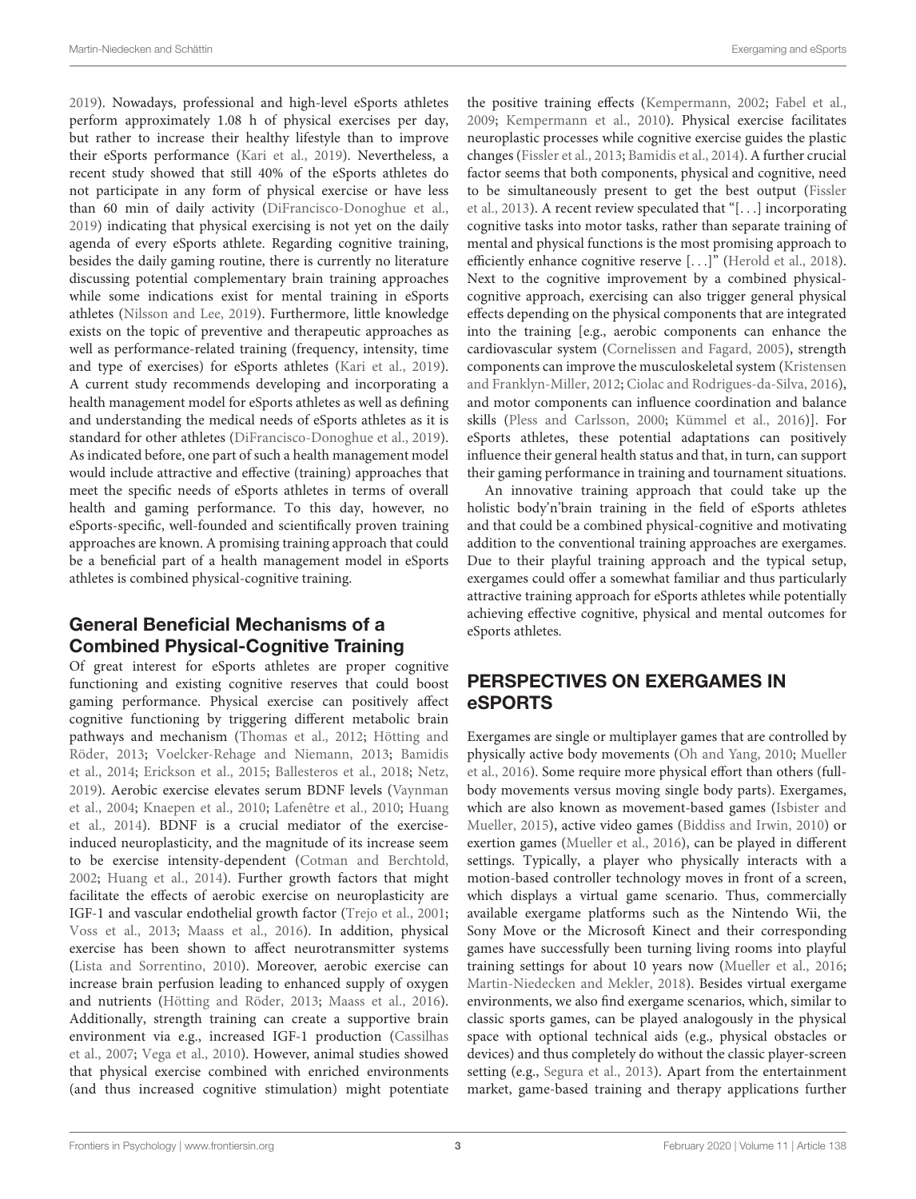[2019\)](#page-6-4). Nowadays, professional and high-level eSports athletes perform approximately 1.08 h of physical exercises per day, but rather to increase their healthy lifestyle than to improve their eSports performance [\(Kari et al.,](#page-6-4) [2019\)](#page-6-4). Nevertheless, a recent study showed that still 40% of the eSports athletes do not participate in any form of physical exercise or have less than 60 min of daily activity [\(DiFrancisco-Donoghue et al.,](#page-6-3) [2019\)](#page-6-3) indicating that physical exercising is not yet on the daily agenda of every eSports athlete. Regarding cognitive training, besides the daily gaming routine, there is currently no literature discussing potential complementary brain training approaches while some indications exist for mental training in eSports athletes [\(Nilsson and Lee,](#page-7-4) [2019\)](#page-7-4). Furthermore, little knowledge exists on the topic of preventive and therapeutic approaches as well as performance-related training (frequency, intensity, time and type of exercises) for eSports athletes [\(Kari et al.,](#page-6-4) [2019\)](#page-6-4). A current study recommends developing and incorporating a health management model for eSports athletes as well as defining and understanding the medical needs of eSports athletes as it is standard for other athletes [\(DiFrancisco-Donoghue et al.,](#page-6-3) [2019\)](#page-6-3). As indicated before, one part of such a health management model would include attractive and effective (training) approaches that meet the specific needs of eSports athletes in terms of overall health and gaming performance. To this day, however, no eSports-specific, well-founded and scientifically proven training approaches are known. A promising training approach that could be a beneficial part of a health management model in eSports athletes is combined physical-cognitive training.

### General Beneficial Mechanisms of a Combined Physical-Cognitive Training

Of great interest for eSports athletes are proper cognitive functioning and existing cognitive reserves that could boost gaming performance. Physical exercise can positively affect cognitive functioning by triggering different metabolic brain pathways and mechanism [\(Thomas et al.,](#page-7-5) [2012;](#page-7-5) [Hötting and](#page-6-13) [Röder,](#page-6-13) [2013;](#page-6-13) [Voelcker-Rehage and Niemann,](#page-8-0) [2013;](#page-8-0) [Bamidis](#page-5-6) [et al.,](#page-5-6) [2014;](#page-5-6) [Erickson et al.,](#page-6-14) [2015;](#page-6-14) [Ballesteros et al.,](#page-5-7) [2018;](#page-5-7) [Netz,](#page-7-6) [2019\)](#page-7-6). Aerobic exercise elevates serum BDNF levels [\(Vaynman](#page-8-1) [et al.,](#page-8-1) [2004;](#page-8-1) [Knaepen et al.,](#page-6-15) [2010;](#page-6-15) [Lafenêtre et al.,](#page-7-7) [2010;](#page-7-7) [Huang](#page-6-16) [et al.,](#page-6-16) [2014\)](#page-6-16). BDNF is a crucial mediator of the exerciseinduced neuroplasticity, and the magnitude of its increase seem to be exercise intensity-dependent [\(Cotman and Berchtold,](#page-6-17) [2002;](#page-6-17) [Huang et al.,](#page-6-16) [2014\)](#page-6-16). Further growth factors that might facilitate the effects of aerobic exercise on neuroplasticity are IGF-1 and vascular endothelial growth factor [\(Trejo et al.,](#page-7-8) [2001;](#page-7-8) [Voss et al.,](#page-8-2) [2013;](#page-8-2) [Maass et al.,](#page-7-9) [2016\)](#page-7-9). In addition, physical exercise has been shown to affect neurotransmitter systems [\(Lista and Sorrentino,](#page-7-10) [2010\)](#page-7-10). Moreover, aerobic exercise can increase brain perfusion leading to enhanced supply of oxygen and nutrients [\(Hötting and Röder,](#page-6-13) [2013;](#page-6-13) [Maass et al.,](#page-7-9) [2016\)](#page-7-9). Additionally, strength training can create a supportive brain environment via e.g., increased IGF-1 production [\(Cassilhas](#page-6-18) [et al.,](#page-6-18) [2007;](#page-6-18) [Vega et al.,](#page-8-3) [2010\)](#page-8-3). However, animal studies showed that physical exercise combined with enriched environments (and thus increased cognitive stimulation) might potentiate

the positive training effects [\(Kempermann,](#page-6-19) [2002;](#page-6-19) [Fabel et al.,](#page-6-20) [2009;](#page-6-20) [Kempermann et al.,](#page-6-21) [2010\)](#page-6-21). Physical exercise facilitates neuroplastic processes while cognitive exercise guides the plastic changes [\(Fissler et al.,](#page-6-22) [2013;](#page-6-22) [Bamidis et al.,](#page-5-6) [2014\)](#page-5-6). A further crucial factor seems that both components, physical and cognitive, need to be simultaneously present to get the best output [\(Fissler](#page-6-22) [et al.,](#page-6-22) [2013\)](#page-6-22). A recent review speculated that "[. . .] incorporating cognitive tasks into motor tasks, rather than separate training of mental and physical functions is the most promising approach to efficiently enhance cognitive reserve [...]" [\(Herold et al.,](#page-6-23) [2018\)](#page-6-23). Next to the cognitive improvement by a combined physicalcognitive approach, exercising can also trigger general physical effects depending on the physical components that are integrated into the training [e.g., aerobic components can enhance the cardiovascular system [\(Cornelissen and Fagard,](#page-6-24) [2005\)](#page-6-24), strength components can improve the musculoskeletal system [\(Kristensen](#page-7-11) [and Franklyn-Miller,](#page-7-11) [2012;](#page-7-11) [Ciolac and Rodrigues-da-Silva,](#page-6-25) [2016\)](#page-6-25), and motor components can influence coordination and balance skills [\(Pless and Carlsson,](#page-7-12) [2000;](#page-7-12) [Kümmel et al.,](#page-7-13) [2016\)](#page-7-13)]. For eSports athletes, these potential adaptations can positively influence their general health status and that, in turn, can support their gaming performance in training and tournament situations.

An innovative training approach that could take up the holistic body'n'brain training in the field of eSports athletes and that could be a combined physical-cognitive and motivating addition to the conventional training approaches are exergames. Due to their playful training approach and the typical setup, exergames could offer a somewhat familiar and thus particularly attractive training approach for eSports athletes while potentially achieving effective cognitive, physical and mental outcomes for eSports athletes.

## PERSPECTIVES ON EXERGAMES IN eSPORTS

Exergames are single or multiplayer games that are controlled by physically active body movements [\(Oh and Yang,](#page-7-14) [2010;](#page-7-14) [Mueller](#page-7-15) [et al.,](#page-7-15) [2016\)](#page-7-15). Some require more physical effort than others (fullbody movements versus moving single body parts). Exergames, which are also known as movement-based games [\(Isbister and](#page-6-26) [Mueller,](#page-6-26) [2015\)](#page-6-26), active video games [\(Biddiss and Irwin,](#page-5-8) [2010\)](#page-5-8) or exertion games [\(Mueller et al.,](#page-7-15) [2016\)](#page-7-15), can be played in different settings. Typically, a player who physically interacts with a motion-based controller technology moves in front of a screen, which displays a virtual game scenario. Thus, commercially available exergame platforms such as the Nintendo Wii, the Sony Move or the Microsoft Kinect and their corresponding games have successfully been turning living rooms into playful training settings for about 10 years now [\(Mueller et al.,](#page-7-15) [2016;](#page-7-15) [Martin-Niedecken and Mekler,](#page-7-16) [2018\)](#page-7-16). Besides virtual exergame environments, we also find exergame scenarios, which, similar to classic sports games, can be played analogously in the physical space with optional technical aids (e.g., physical obstacles or devices) and thus completely do without the classic player-screen setting (e.g., [Segura et al.,](#page-7-17) [2013\)](#page-7-17). Apart from the entertainment market, game-based training and therapy applications further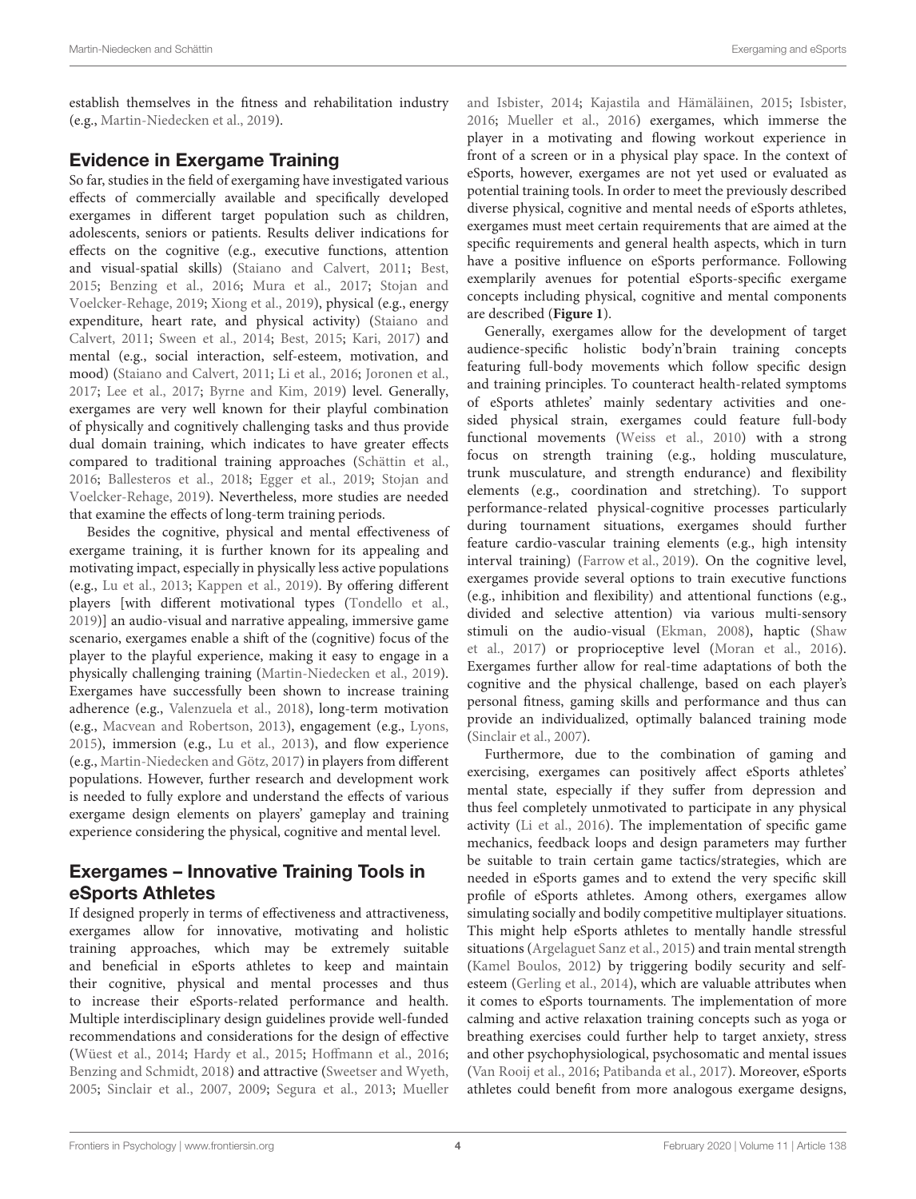establish themselves in the fitness and rehabilitation industry (e.g., [Martin-Niedecken et al.,](#page-7-18) [2019\)](#page-7-18).

### Evidence in Exergame Training

So far, studies in the field of exergaming have investigated various effects of commercially available and specifically developed exergames in different target population such as children, adolescents, seniors or patients. Results deliver indications for effects on the cognitive (e.g., executive functions, attention and visual-spatial skills) [\(Staiano and Calvert,](#page-7-19) [2011;](#page-7-19) [Best,](#page-5-9) [2015;](#page-5-9) [Benzing et al.,](#page-5-10) [2016;](#page-5-10) [Mura et al.,](#page-7-20) [2017;](#page-7-20) [Stojan and](#page-7-21) [Voelcker-Rehage,](#page-7-21) [2019;](#page-7-21) [Xiong et al.,](#page-8-4) [2019\)](#page-8-4), physical (e.g., energy expenditure, heart rate, and physical activity) [\(Staiano and](#page-7-19) [Calvert,](#page-7-19) [2011;](#page-7-19) [Sween et al.,](#page-7-22) [2014;](#page-7-22) [Best,](#page-5-9) [2015;](#page-5-9) [Kari,](#page-6-27) [2017\)](#page-6-27) and mental (e.g., social interaction, self-esteem, motivation, and mood) [\(Staiano and Calvert,](#page-7-19) [2011;](#page-7-19) [Li et al.,](#page-7-23) [2016;](#page-7-23) [Joronen et al.,](#page-6-28) [2017;](#page-6-28) [Lee et al.,](#page-7-24) [2017;](#page-7-24) [Byrne and Kim,](#page-6-29) [2019\)](#page-6-29) level. Generally, exergames are very well known for their playful combination of physically and cognitively challenging tasks and thus provide dual domain training, which indicates to have greater effects compared to traditional training approaches [\(Schättin et al.,](#page-7-25) [2016;](#page-7-25) [Ballesteros et al.,](#page-5-7) [2018;](#page-5-7) [Egger et al.,](#page-6-30) [2019;](#page-6-30) [Stojan and](#page-7-21) [Voelcker-Rehage,](#page-7-21) [2019\)](#page-7-21). Nevertheless, more studies are needed that examine the effects of long-term training periods.

Besides the cognitive, physical and mental effectiveness of exergame training, it is further known for its appealing and motivating impact, especially in physically less active populations (e.g., [Lu et al.,](#page-7-26) [2013;](#page-7-26) [Kappen et al.,](#page-6-31) [2019\)](#page-6-31). By offering different players [with different motivational types [\(Tondello et al.,](#page-7-27) [2019\)](#page-7-27)] an audio-visual and narrative appealing, immersive game scenario, exergames enable a shift of the (cognitive) focus of the player to the playful experience, making it easy to engage in a physically challenging training [\(Martin-Niedecken et al.,](#page-7-18) [2019\)](#page-7-18). Exergames have successfully been shown to increase training adherence (e.g., [Valenzuela et al.,](#page-7-28) [2018\)](#page-7-28), long-term motivation (e.g., [Macvean and Robertson,](#page-7-29) [2013\)](#page-7-29), engagement (e.g., [Lyons,](#page-7-30) [2015\)](#page-7-30), immersion (e.g., [Lu et al.,](#page-7-26) [2013\)](#page-7-26), and flow experience (e.g., [Martin-Niedecken and Götz,](#page-7-31) [2017\)](#page-7-31) in players from different populations. However, further research and development work is needed to fully explore and understand the effects of various exergame design elements on players' gameplay and training experience considering the physical, cognitive and mental level.

### Exergames – Innovative Training Tools in eSports Athletes

If designed properly in terms of effectiveness and attractiveness, exergames allow for innovative, motivating and holistic training approaches, which may be extremely suitable and beneficial in eSports athletes to keep and maintain their cognitive, physical and mental processes and thus to increase their eSports-related performance and health. Multiple interdisciplinary design guidelines provide well-funded recommendations and considerations for the design of effective [\(Wüest et al.,](#page-8-5) [2014;](#page-8-5) [Hardy et al.,](#page-6-32) [2015;](#page-6-32) [Hoffmann et al.,](#page-6-33) [2016;](#page-6-33) [Benzing and Schmidt,](#page-5-11) [2018\)](#page-5-11) and attractive [\(Sweetser and Wyeth,](#page-7-32) [2005;](#page-7-32) [Sinclair et al.,](#page-7-33) [2007,](#page-7-33) [2009;](#page-7-34) [Segura et al.,](#page-7-17) [2013;](#page-7-17) [Mueller](#page-7-35) [and Isbister,](#page-7-35) [2014;](#page-7-35) [Kajastila and Hämäläinen,](#page-6-34) [2015;](#page-6-34) [Isbister,](#page-6-35) [2016;](#page-6-35) [Mueller et al.,](#page-7-15) [2016\)](#page-7-15) exergames, which immerse the player in a motivating and flowing workout experience in front of a screen or in a physical play space. In the context of eSports, however, exergames are not yet used or evaluated as potential training tools. In order to meet the previously described diverse physical, cognitive and mental needs of eSports athletes, exergames must meet certain requirements that are aimed at the specific requirements and general health aspects, which in turn have a positive influence on eSports performance. Following exemplarily avenues for potential eSports-specific exergame concepts including physical, cognitive and mental components are described (**[Figure 1](#page-4-0)**).

Generally, exergames allow for the development of target audience-specific holistic body'n'brain training concepts featuring full-body movements which follow specific design and training principles. To counteract health-related symptoms of eSports athletes' mainly sedentary activities and onesided physical strain, exergames could feature full-body functional movements [\(Weiss et al.,](#page-8-6) [2010\)](#page-8-6) with a strong focus on strength training (e.g., holding musculature, trunk musculature, and strength endurance) and flexibility elements (e.g., coordination and stretching). To support performance-related physical-cognitive processes particularly during tournament situations, exergames should further feature cardio-vascular training elements (e.g., high intensity interval training) [\(Farrow et al.,](#page-6-36) [2019\)](#page-6-36). On the cognitive level, exergames provide several options to train executive functions (e.g., inhibition and flexibility) and attentional functions (e.g., divided and selective attention) via various multi-sensory stimuli on the audio-visual [\(Ekman,](#page-6-37) [2008\)](#page-6-37), haptic [\(Shaw](#page-7-36) [et al.,](#page-7-36) [2017\)](#page-7-36) or proprioceptive level [\(Moran et al.,](#page-7-37) [2016\)](#page-7-37). Exergames further allow for real-time adaptations of both the cognitive and the physical challenge, based on each player's personal fitness, gaming skills and performance and thus can provide an individualized, optimally balanced training mode [\(Sinclair et al.,](#page-7-33) [2007\)](#page-7-33).

Furthermore, due to the combination of gaming and exercising, exergames can positively affect eSports athletes' mental state, especially if they suffer from depression and thus feel completely unmotivated to participate in any physical activity [\(Li et al.,](#page-7-23) [2016\)](#page-7-23). The implementation of specific game mechanics, feedback loops and design parameters may further be suitable to train certain game tactics/strategies, which are needed in eSports games and to extend the very specific skill profile of eSports athletes. Among others, exergames allow simulating socially and bodily competitive multiplayer situations. This might help eSports athletes to mentally handle stressful situations [\(Argelaguet Sanz et al.,](#page-5-12) [2015\)](#page-5-12) and train mental strength [\(Kamel Boulos,](#page-6-38) [2012\)](#page-6-38) by triggering bodily security and selfesteem [\(Gerling et al.,](#page-6-39) [2014\)](#page-6-39), which are valuable attributes when it comes to eSports tournaments. The implementation of more calming and active relaxation training concepts such as yoga or breathing exercises could further help to target anxiety, stress and other psychophysiological, psychosomatic and mental issues [\(Van Rooij et al.,](#page-8-7) [2016;](#page-8-7) [Patibanda et al.,](#page-7-38) [2017\)](#page-7-38). Moreover, eSports athletes could benefit from more analogous exergame designs,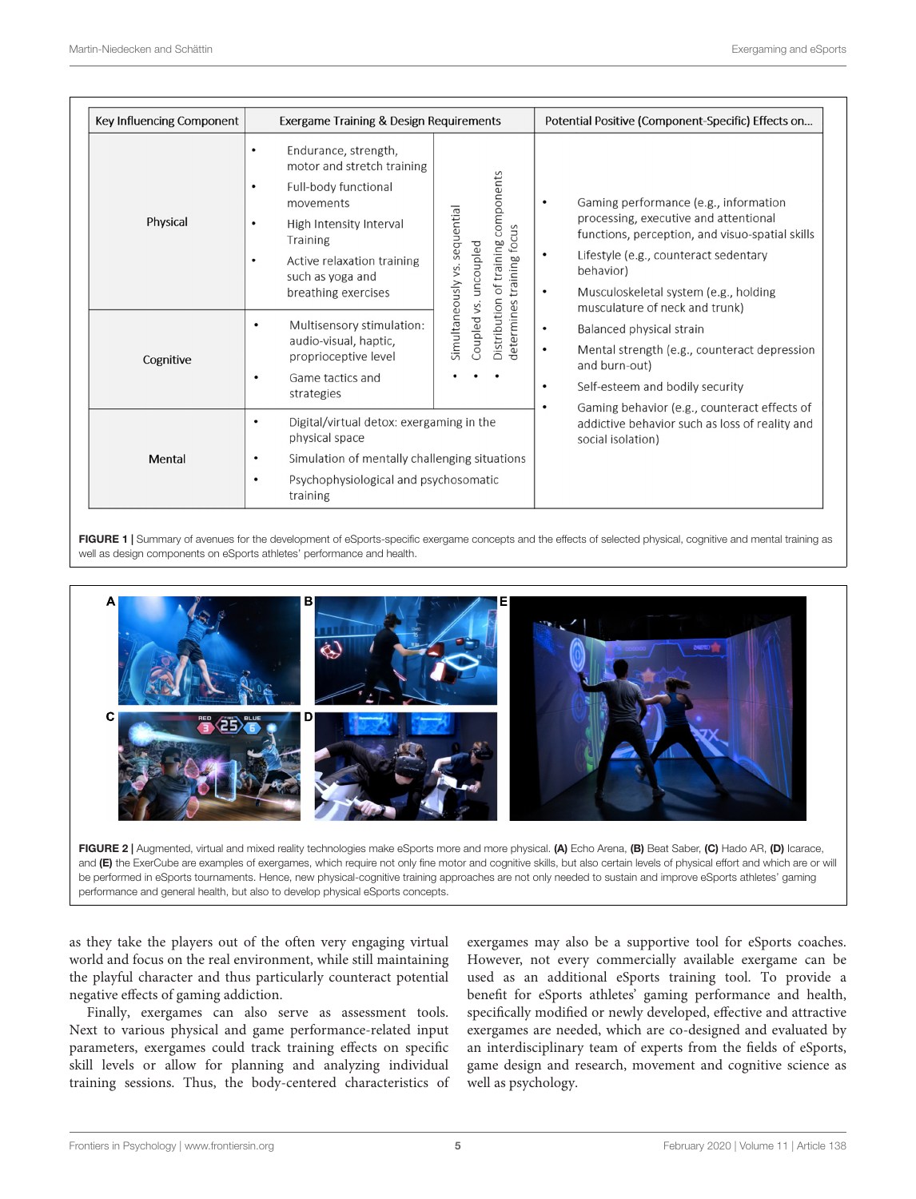| Key Influencing Component | Exergame Training & Design Requirements                                                                                                                                                                                                                     |                                                                                                                                     | Potential Positive (Component-Specific) Effects on                                                                                                                                                                                                                                                        |
|---------------------------|-------------------------------------------------------------------------------------------------------------------------------------------------------------------------------------------------------------------------------------------------------------|-------------------------------------------------------------------------------------------------------------------------------------|-----------------------------------------------------------------------------------------------------------------------------------------------------------------------------------------------------------------------------------------------------------------------------------------------------------|
| Physical                  | Endurance, strength,<br>$\bullet$<br>motor and stretch training<br>Full-body functional<br>$\bullet$<br>movements<br>High Intensity Interval<br>$\bullet$<br>Training<br>Active relaxation training<br>$\bullet$<br>such as yoga and<br>breathing exercises | components<br>Simultaneously vs. sequential<br>training focus<br>Distribution of training<br>uncoupled<br>Coupled vs.<br>determines | Gaming performance (e.g., information<br>$\bullet$<br>processing, executive and attentional<br>functions, perception, and visuo-spatial skills<br>Lifestyle (e.g., counteract sedentary<br>$\bullet$<br>behavior)<br>Musculoskeletal system (e.g., holding<br>$\bullet$<br>musculature of neck and trunk) |
| Cognitive                 | Multisensory stimulation:<br>$\bullet$<br>audio-visual, haptic,<br>proprioceptive level<br>Game tactics and<br>$\bullet$<br>strategies                                                                                                                      |                                                                                                                                     | Balanced physical strain<br>$\bullet$<br>Mental strength (e.g., counteract depression<br>$\bullet$<br>and burn-out)<br>Self-esteem and bodily security<br>$\bullet$<br>$\bullet$                                                                                                                          |
| Mental                    | Digital/virtual detox: exergaming in the<br>$\bullet$<br>physical space<br>Simulation of mentally challenging situations<br>$\bullet$<br>Psychophysiological and psychosomatic<br>$\bullet$<br>training                                                     |                                                                                                                                     | Gaming behavior (e.g., counteract effects of<br>addictive behavior such as loss of reality and<br>social isolation)                                                                                                                                                                                       |

<span id="page-4-0"></span>FIGURE 1 | Summary of avenues for the development of eSports-specific exergame concepts and the effects of selected physical, cognitive and mental training as well as design components on eSports athletes' performance and health.



<span id="page-4-1"></span>

as they take the players out of the often very engaging virtual world and focus on the real environment, while still maintaining the playful character and thus particularly counteract potential negative effects of gaming addiction.

Finally, exergames can also serve as assessment tools. Next to various physical and game performance-related input parameters, exergames could track training effects on specific skill levels or allow for planning and analyzing individual training sessions. Thus, the body-centered characteristics of

exergames may also be a supportive tool for eSports coaches. However, not every commercially available exergame can be used as an additional eSports training tool. To provide a benefit for eSports athletes' gaming performance and health, specifically modified or newly developed, effective and attractive exergames are needed, which are co-designed and evaluated by an interdisciplinary team of experts from the fields of eSports, game design and research, movement and cognitive science as well as psychology.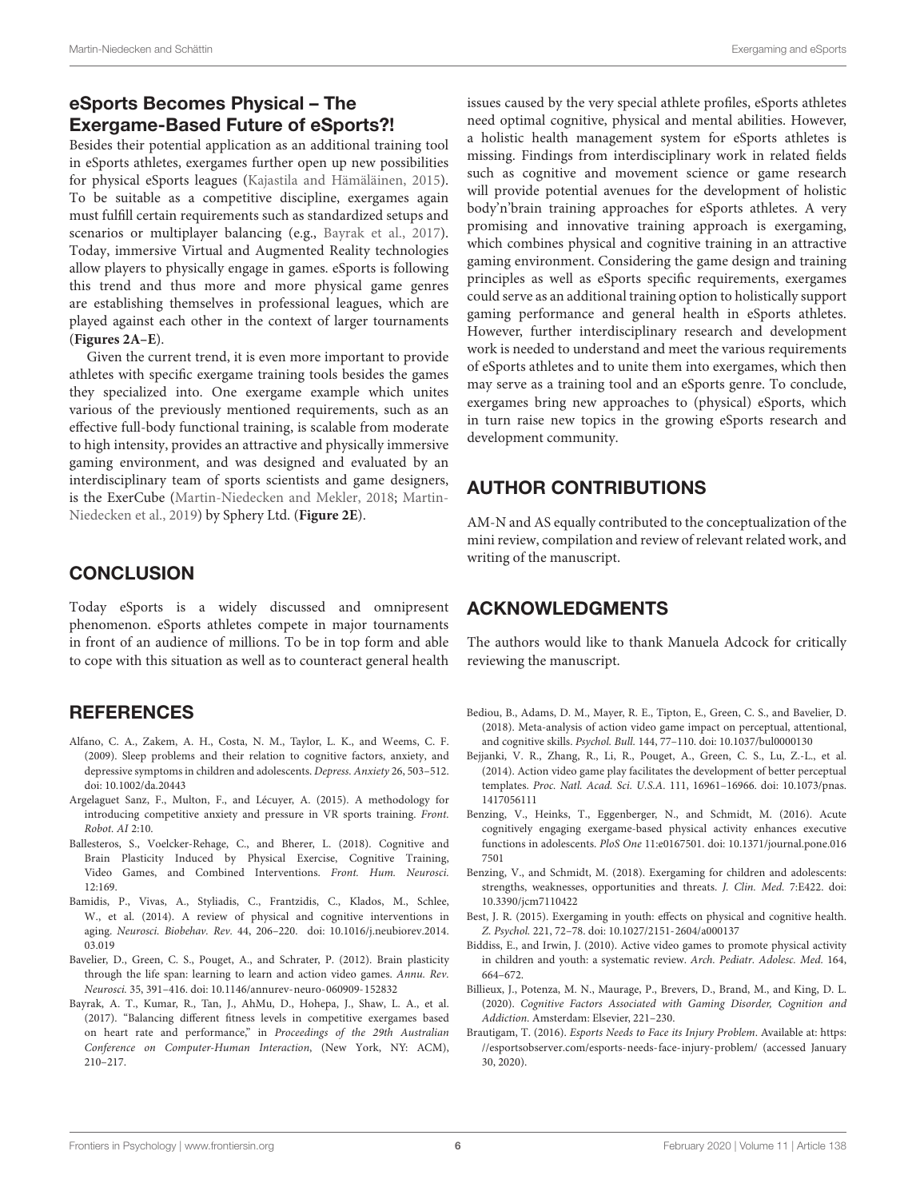# eSports Becomes Physical – The Exergame-Based Future of eSports?!

Besides their potential application as an additional training tool in eSports athletes, exergames further open up new possibilities for physical eSports leagues [\(Kajastila and Hämäläinen,](#page-6-34) [2015\)](#page-6-34). To be suitable as a competitive discipline, exergames again must fulfill certain requirements such as standardized setups and scenarios or multiplayer balancing (e.g., [Bayrak et al.,](#page-5-13) [2017\)](#page-5-13). Today, immersive Virtual and Augmented Reality technologies allow players to physically engage in games. eSports is following this trend and thus more and more physical game genres are establishing themselves in professional leagues, which are played against each other in the context of larger tournaments (**[Figures 2A–E](#page-4-1)**).

Given the current trend, it is even more important to provide athletes with specific exergame training tools besides the games they specialized into. One exergame example which unites various of the previously mentioned requirements, such as an effective full-body functional training, is scalable from moderate to high intensity, provides an attractive and physically immersive gaming environment, and was designed and evaluated by an interdisciplinary team of sports scientists and game designers, is the ExerCube [\(Martin-Niedecken and Mekler,](#page-7-16) [2018;](#page-7-16) [Martin-](#page-7-18)[Niedecken et al.,](#page-7-18) [2019\)](#page-7-18) by Sphery Ltd. (**[Figure 2E](#page-4-1)**).

# **CONCLUSION**

Today eSports is a widely discussed and omnipresent phenomenon. eSports athletes compete in major tournaments in front of an audience of millions. To be in top form and able to cope with this situation as well as to counteract general health

## **REFERENCES**

- <span id="page-5-2"></span>Alfano, C. A., Zakem, A. H., Costa, N. M., Taylor, L. K., and Weems, C. F. (2009). Sleep problems and their relation to cognitive factors, anxiety, and depressive symptoms in children and adolescents. Depress. Anxiety 26, 503–512. [doi: 10.1002/da.20443](https://doi.org/10.1002/da.20443)
- <span id="page-5-12"></span>Argelaguet Sanz, F., Multon, F., and Lécuyer, A. (2015). A methodology for introducing competitive anxiety and pressure in VR sports training. Front. Robot. AI 2:10.
- <span id="page-5-7"></span>Ballesteros, S., Voelcker-Rehage, C., and Bherer, L. (2018). Cognitive and Brain Plasticity Induced by Physical Exercise, Cognitive Training, Video Games, and Combined Interventions. Front. Hum. Neurosci. 12:169.
- <span id="page-5-6"></span>Bamidis, P., Vivas, A., Styliadis, C., Frantzidis, C., Klados, M., Schlee, W., et al. (2014). A review of physical and cognitive interventions in aging. Neurosci. Biobehav. Rev. 44, 206–220. [doi: 10.1016/j.neubiorev.2014.](https://doi.org/10.1016/j.neubiorev.2014.03.019) [03.019](https://doi.org/10.1016/j.neubiorev.2014.03.019)
- <span id="page-5-3"></span>Bavelier, D., Green, C. S., Pouget, A., and Schrater, P. (2012). Brain plasticity through the life span: learning to learn and action video games. Annu. Rev. Neurosci. 35, 391–416. [doi: 10.1146/annurev-neuro-060909-152832](https://doi.org/10.1146/annurev-neuro-060909-152832)
- <span id="page-5-13"></span>Bayrak, A. T., Kumar, R., Tan, J., AhMu, D., Hohepa, J., Shaw, L. A., et al. (2017). "Balancing different fitness levels in competitive exergames based on heart rate and performance," in Proceedings of the 29th Australian Conference on Computer-Human Interaction, (New York, NY: ACM), 210–217.

issues caused by the very special athlete profiles, eSports athletes need optimal cognitive, physical and mental abilities. However, a holistic health management system for eSports athletes is missing. Findings from interdisciplinary work in related fields such as cognitive and movement science or game research will provide potential avenues for the development of holistic body'n'brain training approaches for eSports athletes. A very promising and innovative training approach is exergaming, which combines physical and cognitive training in an attractive gaming environment. Considering the game design and training principles as well as eSports specific requirements, exergames could serve as an additional training option to holistically support gaming performance and general health in eSports athletes. However, further interdisciplinary research and development work is needed to understand and meet the various requirements of eSports athletes and to unite them into exergames, which then may serve as a training tool and an eSports genre. To conclude, exergames bring new approaches to (physical) eSports, which in turn raise new topics in the growing eSports research and development community.

# AUTHOR CONTRIBUTIONS

AM-N and AS equally contributed to the conceptualization of the mini review, compilation and review of relevant related work, and writing of the manuscript.

## ACKNOWLEDGMENTS

The authors would like to thank Manuela Adcock for critically reviewing the manuscript.

- <span id="page-5-5"></span>Bediou, B., Adams, D. M., Mayer, R. E., Tipton, E., Green, C. S., and Bavelier, D. (2018). Meta-analysis of action video game impact on perceptual, attentional, and cognitive skills. Psychol. Bull. 144, 77–110. [doi: 10.1037/bul0000130](https://doi.org/10.1037/bul0000130)
- <span id="page-5-4"></span>Bejjanki, V. R., Zhang, R., Li, R., Pouget, A., Green, C. S., Lu, Z.-L., et al. (2014). Action video game play facilitates the development of better perceptual templates. Proc. Natl. Acad. Sci. U.S.A. 111, 16961–16966. [doi: 10.1073/pnas.](https://doi.org/10.1073/pnas.1417056111) [1417056111](https://doi.org/10.1073/pnas.1417056111)
- <span id="page-5-10"></span>Benzing, V., Heinks, T., Eggenberger, N., and Schmidt, M. (2016). Acute cognitively engaging exergame-based physical activity enhances executive functions in adolescents. PloS One 11:e0167501. [doi: 10.1371/journal.pone.016](https://doi.org/10.1371/journal.pone.0167501) [7501](https://doi.org/10.1371/journal.pone.0167501)
- <span id="page-5-11"></span>Benzing, V., and Schmidt, M. (2018). Exergaming for children and adolescents: strengths, weaknesses, opportunities and threats. J. Clin. Med. 7:E422. [doi:](https://doi.org/10.3390/jcm7110422) [10.3390/jcm7110422](https://doi.org/10.3390/jcm7110422)
- <span id="page-5-9"></span>Best, J. R. (2015). Exergaming in youth: effects on physical and cognitive health. Z. Psychol. 221, 72–78. [doi: 10.1027/2151-2604/a000137](https://doi.org/10.1027/2151-2604/a000137)
- <span id="page-5-8"></span>Biddiss, E., and Irwin, J. (2010). Active video games to promote physical activity in children and youth: a systematic review. Arch. Pediatr. Adolesc. Med. 164, 664–672.
- <span id="page-5-1"></span>Billieux, J., Potenza, M. N., Maurage, P., Brevers, D., Brand, M., and King, D. L. (2020). Cognitive Factors Associated with Gaming Disorder, Cognition and Addiction. Amsterdam: Elsevier, 221–230.
- <span id="page-5-0"></span>Brautigam, T. (2016). Esports Needs to Face its Injury Problem. Available at: [https:](https://esportsobserver.com/esports-needs-face-injury-problem/) [//esportsobserver.com/esports-needs-face-injury-problem/](https://esportsobserver.com/esports-needs-face-injury-problem/) (accessed January 30, 2020).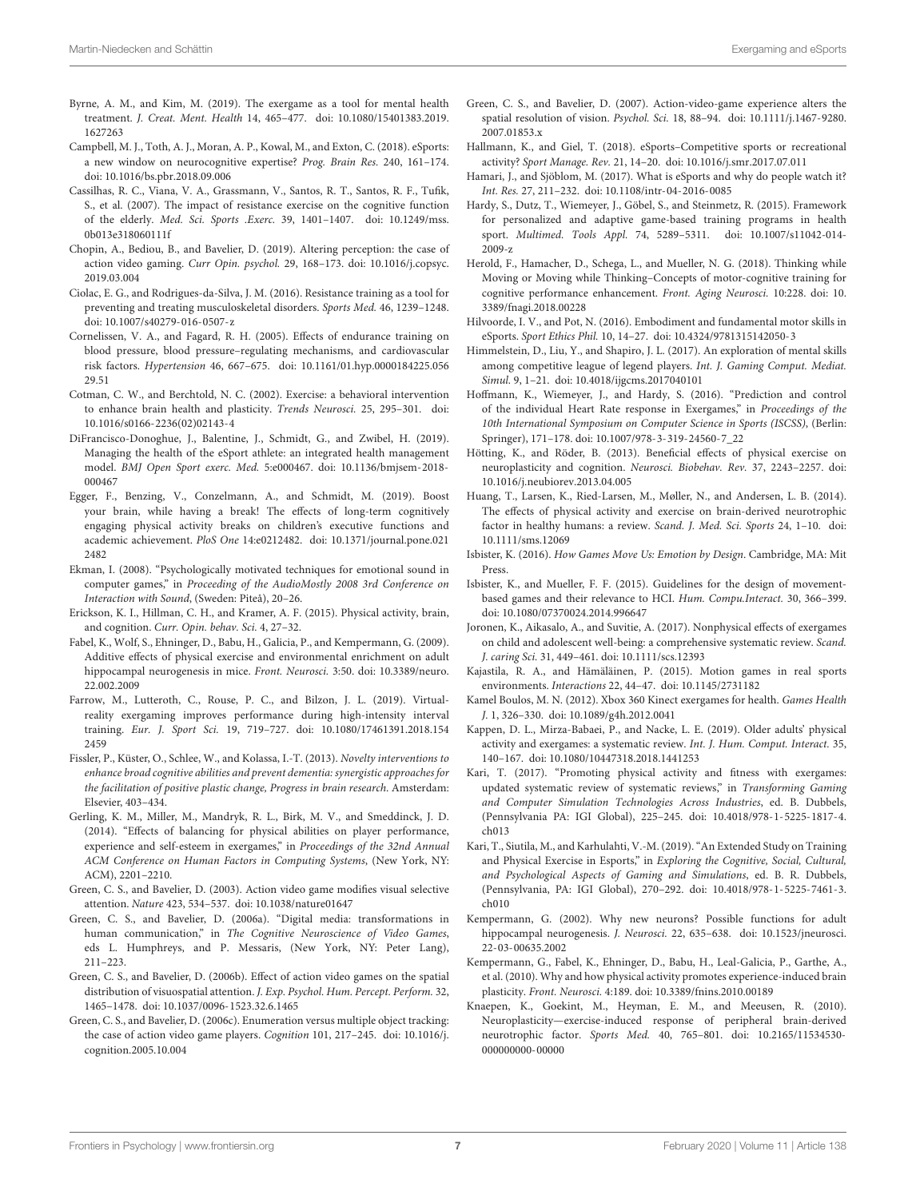- <span id="page-6-29"></span>Byrne, A. M., and Kim, M. (2019). The exergame as a tool for mental health treatment. J. Creat. Ment. Health 14, 465–477. [doi: 10.1080/15401383.2019.](https://doi.org/10.1080/15401383.2019.1627263) [1627263](https://doi.org/10.1080/15401383.2019.1627263)
- <span id="page-6-2"></span>Campbell, M. J., Toth, A. J., Moran, A. P., Kowal, M., and Exton, C. (2018). eSports: a new window on neurocognitive expertise? Prog. Brain Res. 240, 161–174. [doi: 10.1016/bs.pbr.2018.09.006](https://doi.org/10.1016/bs.pbr.2018.09.006)
- <span id="page-6-18"></span>Cassilhas, R. C., Viana, V. A., Grassmann, V., Santos, R. T., Santos, R. F., Tufik, S., et al. (2007). The impact of resistance exercise on the cognitive function of the elderly. Med. Sci. Sports .Exerc. 39, 1401–1407. [doi: 10.1249/mss.](https://doi.org/10.1249/mss.0b013e318060111f) [0b013e318060111f](https://doi.org/10.1249/mss.0b013e318060111f)
- <span id="page-6-11"></span>Chopin, A., Bediou, B., and Bavelier, D. (2019). Altering perception: the case of action video gaming. Curr Opin. psychol. 29, 168–173. [doi: 10.1016/j.copsyc.](https://doi.org/10.1016/j.copsyc.2019.03.004) [2019.03.004](https://doi.org/10.1016/j.copsyc.2019.03.004)
- <span id="page-6-25"></span>Ciolac, E. G., and Rodrigues-da-Silva, J. M. (2016). Resistance training as a tool for preventing and treating musculoskeletal disorders. Sports Med. 46, 1239–1248. [doi: 10.1007/s40279-016-0507-z](https://doi.org/10.1007/s40279-016-0507-z)
- <span id="page-6-24"></span>Cornelissen, V. A., and Fagard, R. H. (2005). Effects of endurance training on blood pressure, blood pressure–regulating mechanisms, and cardiovascular risk factors. Hypertension 46, 667–675. [doi: 10.1161/01.hyp.0000184225.056](https://doi.org/10.1161/01.hyp.0000184225.05629.51) [29.51](https://doi.org/10.1161/01.hyp.0000184225.05629.51)
- <span id="page-6-17"></span>Cotman, C. W., and Berchtold, N. C. (2002). Exercise: a behavioral intervention to enhance brain health and plasticity. Trends Neurosci. 25, 295–301. [doi:](https://doi.org/10.1016/s0166-2236(02)02143-4) [10.1016/s0166-2236\(02\)02143-4](https://doi.org/10.1016/s0166-2236(02)02143-4)
- <span id="page-6-3"></span>DiFrancisco-Donoghue, J., Balentine, J., Schmidt, G., and Zwibel, H. (2019). Managing the health of the eSport athlete: an integrated health management model. BMJ Open Sport exerc. Med. 5:e000467. [doi: 10.1136/bmjsem-2018-](https://doi.org/10.1136/bmjsem-2018-000467) [000467](https://doi.org/10.1136/bmjsem-2018-000467)
- <span id="page-6-30"></span>Egger, F., Benzing, V., Conzelmann, A., and Schmidt, M. (2019). Boost your brain, while having a break! The effects of long-term cognitively engaging physical activity breaks on children's executive functions and academic achievement. PloS One 14:e0212482. [doi: 10.1371/journal.pone.021](https://doi.org/10.1371/journal.pone.0212482) [2482](https://doi.org/10.1371/journal.pone.0212482)
- <span id="page-6-37"></span>Ekman, I. (2008). "Psychologically motivated techniques for emotional sound in computer games," in Proceeding of the AudioMostly 2008 3rd Conference on Interaction with Sound, (Sweden: Piteå), 20–26.
- <span id="page-6-14"></span>Erickson, K. I., Hillman, C. H., and Kramer, A. F. (2015). Physical activity, brain, and cognition. Curr. Opin. behav. Sci. 4, 27–32.
- <span id="page-6-20"></span>Fabel, K., Wolf, S., Ehninger, D., Babu, H., Galicia, P., and Kempermann, G. (2009). Additive effects of physical exercise and environmental enrichment on adult hippocampal neurogenesis in mice. Front. Neurosci. 3:50. [doi: 10.3389/neuro.](https://doi.org/10.3389/neuro.22.002.2009) [22.002.2009](https://doi.org/10.3389/neuro.22.002.2009)
- <span id="page-6-36"></span>Farrow, M., Lutteroth, C., Rouse, P. C., and Bilzon, J. L. (2019). Virtualreality exergaming improves performance during high-intensity interval training. Eur. J. Sport Sci. 19, 719–727. [doi: 10.1080/17461391.2018.154](https://doi.org/10.1080/17461391.2018.1542459) [2459](https://doi.org/10.1080/17461391.2018.1542459)
- <span id="page-6-22"></span>Fissler, P., Küster, O., Schlee, W., and Kolassa, I.-T. (2013). Novelty interventions to enhance broad cognitive abilities and prevent dementia: synergistic approaches for the facilitation of positive plastic change, Progress in brain research. Amsterdam: Elsevier, 403–434.
- <span id="page-6-39"></span>Gerling, K. M., Miller, M., Mandryk, R. L., Birk, M. V., and Smeddinck, J. D. (2014). "Effects of balancing for physical abilities on player performance, experience and self-esteem in exergames," in Proceedings of the 32nd Annual ACM Conference on Human Factors in Computing Systems, (New York, NY: ACM), 2201–2210.
- <span id="page-6-7"></span>Green, C. S., and Bavelier, D. (2003). Action video game modifies visual selective attention. Nature 423, 534–537. [doi: 10.1038/nature01647](https://doi.org/10.1038/nature01647)
- <span id="page-6-5"></span>Green, C. S., and Bavelier, D. (2006a). "Digital media: transformations in human communication," in The Cognitive Neuroscience of Video Games, eds L. Humphreys, and P. Messaris, (New York, NY: Peter Lang), 211–223.
- <span id="page-6-8"></span>Green, C. S., and Bavelier, D. (2006b). Effect of action video games on the spatial distribution of visuospatial attention. J. Exp. Psychol. Hum. Percept. Perform. 32, 1465–1478. [doi: 10.1037/0096-1523.32.6.1465](https://doi.org/10.1037/0096-1523.32.6.1465)
- <span id="page-6-9"></span>Green, C. S., and Bavelier, D. (2006c). Enumeration versus multiple object tracking: the case of action video game players. Cognition 101, 217–245. [doi: 10.1016/j.](https://doi.org/10.1016/j.cognition.2005.10.004) [cognition.2005.10.004](https://doi.org/10.1016/j.cognition.2005.10.004)
- <span id="page-6-10"></span>Green, C. S., and Bavelier, D. (2007). Action-video-game experience alters the spatial resolution of vision. Psychol. Sci. 18, 88–94. [doi: 10.1111/j.1467-9280.](https://doi.org/10.1111/j.1467-9280.2007.01853.x) [2007.01853.x](https://doi.org/10.1111/j.1467-9280.2007.01853.x)
- <span id="page-6-0"></span>Hallmann, K., and Giel, T. (2018). eSports–Competitive sports or recreational activity? Sport Manage. Rev. 21, 14–20. [doi: 10.1016/j.smr.2017.07.011](https://doi.org/10.1016/j.smr.2017.07.011)
- <span id="page-6-1"></span>Hamari, J., and Sjöblom, M. (2017). What is eSports and why do people watch it? Int. Res. 27, 211–232. [doi: 10.1108/intr-04-2016-0085](https://doi.org/10.1108/intr-04-2016-0085)
- <span id="page-6-32"></span>Hardy, S., Dutz, T., Wiemeyer, J., Göbel, S., and Steinmetz, R. (2015). Framework for personalized and adaptive game-based training programs in health sport. Multimed. Tools Appl. 74, 5289–5311. [doi: 10.1007/s11042-014-](https://doi.org/10.1007/s11042-014-2009-z) [2009-z](https://doi.org/10.1007/s11042-014-2009-z)
- <span id="page-6-23"></span>Herold, F., Hamacher, D., Schega, L., and Mueller, N. G. (2018). Thinking while Moving or Moving while Thinking–Concepts of motor-cognitive training for cognitive performance enhancement. Front. Aging Neurosci. 10:228. [doi: 10.](https://doi.org/10.3389/fnagi.2018.00228) [3389/fnagi.2018.00228](https://doi.org/10.3389/fnagi.2018.00228)
- <span id="page-6-6"></span>Hilvoorde, I. V., and Pot, N. (2016). Embodiment and fundamental motor skills in eSports. Sport Ethics Phil. 10, 14–27. [doi: 10.4324/9781315142050-3](https://doi.org/10.4324/9781315142050-3)
- <span id="page-6-12"></span>Himmelstein, D., Liu, Y., and Shapiro, J. L. (2017). An exploration of mental skills among competitive league of legend players. Int. J. Gaming Comput. Mediat. Simul. 9, 1–21. [doi: 10.4018/ijgcms.2017040101](https://doi.org/10.4018/ijgcms.2017040101)
- <span id="page-6-33"></span>Hoffmann, K., Wiemeyer, J., and Hardy, S. (2016). "Prediction and control of the individual Heart Rate response in Exergames," in Proceedings of the 10th International Symposium on Computer Science in Sports (ISCSS), (Berlin: Springer), 171–178. [doi: 10.1007/978-3-319-24560-7\\_22](https://doi.org/10.1007/978-3-319-24560-7_22)
- <span id="page-6-13"></span>Hötting, K., and Röder, B. (2013). Beneficial effects of physical exercise on neuroplasticity and cognition. Neurosci. Biobehav. Rev. 37, 2243–2257. [doi:](https://doi.org/10.1016/j.neubiorev.2013.04.005) [10.1016/j.neubiorev.2013.04.005](https://doi.org/10.1016/j.neubiorev.2013.04.005)
- <span id="page-6-16"></span>Huang, T., Larsen, K., Ried-Larsen, M., Møller, N., and Andersen, L. B. (2014). The effects of physical activity and exercise on brain-derived neurotrophic factor in healthy humans: a review. Scand. J. Med. Sci. Sports 24, 1–10. [doi:](https://doi.org/10.1111/sms.12069) [10.1111/sms.12069](https://doi.org/10.1111/sms.12069)
- <span id="page-6-35"></span>Isbister, K. (2016). How Games Move Us: Emotion by Design. Cambridge, MA: Mit Press.
- <span id="page-6-26"></span>Isbister, K., and Mueller, F. F. (2015). Guidelines for the design of movementbased games and their relevance to HCI. Hum. Compu.Interact. 30, 366–399. [doi: 10.1080/07370024.2014.996647](https://doi.org/10.1080/07370024.2014.996647)
- <span id="page-6-28"></span>Joronen, K., Aikasalo, A., and Suvitie, A. (2017). Nonphysical effects of exergames on child and adolescent well-being: a comprehensive systematic review. Scand. J. caring Sci. 31, 449–461. [doi: 10.1111/scs.12393](https://doi.org/10.1111/scs.12393)
- <span id="page-6-34"></span>Kajastila, R. A., and Hämäläinen, P. (2015). Motion games in real sports environments. Interactions 22, 44–47. [doi: 10.1145/2731182](https://doi.org/10.1145/2731182)
- <span id="page-6-38"></span>Kamel Boulos, M. N. (2012). Xbox 360 Kinect exergames for health. Games Health J. 1, 326–330. [doi: 10.1089/g4h.2012.0041](https://doi.org/10.1089/g4h.2012.0041)
- <span id="page-6-31"></span>Kappen, D. L., Mirza-Babaei, P., and Nacke, L. E. (2019). Older adults' physical activity and exergames: a systematic review. Int. J. Hum. Comput. Interact. 35, 140–167. [doi: 10.1080/10447318.2018.1441253](https://doi.org/10.1080/10447318.2018.1441253)
- <span id="page-6-27"></span>Kari, T. (2017). "Promoting physical activity and fitness with exergames: updated systematic review of systematic reviews," in Transforming Gaming and Computer Simulation Technologies Across Industries, ed. B. Dubbels, (Pennsylvania PA: IGI Global), 225–245. [doi: 10.4018/978-1-5225-1817-4.](https://doi.org/10.4018/978-1-5225-1817-4.ch013) [ch013](https://doi.org/10.4018/978-1-5225-1817-4.ch013)
- <span id="page-6-4"></span>Kari, T., Siutila, M., and Karhulahti, V.-M. (2019). "An Extended Study on Training and Physical Exercise in Esports," in Exploring the Cognitive, Social, Cultural, and Psychological Aspects of Gaming and Simulations, ed. B. R. Dubbels, (Pennsylvania, PA: IGI Global), 270–292. [doi: 10.4018/978-1-5225-7461-3.](https://doi.org/10.4018/978-1-5225-7461-3.ch010) [ch010](https://doi.org/10.4018/978-1-5225-7461-3.ch010)
- <span id="page-6-19"></span>Kempermann, G. (2002). Why new neurons? Possible functions for adult hippocampal neurogenesis. J. Neurosci. 22, 635–638. [doi: 10.1523/jneurosci.](https://doi.org/10.1523/jneurosci.22-03-00635.2002) [22-03-00635.2002](https://doi.org/10.1523/jneurosci.22-03-00635.2002)
- <span id="page-6-21"></span>Kempermann, G., Fabel, K., Ehninger, D., Babu, H., Leal-Galicia, P., Garthe, A., et al. (2010). Why and how physical activity promotes experience-induced brain plasticity. Front. Neurosci. 4:189. [doi: 10.3389/fnins.2010.00189](https://doi.org/10.3389/fnins.2010.00189)
- <span id="page-6-15"></span>Knaepen, K., Goekint, M., Heyman, E. M., and Meeusen, R. (2010). Neuroplasticity—exercise-induced response of peripheral brain-derived neurotrophic factor. Sports Med. 40, 765–801. [doi: 10.2165/11534530-](https://doi.org/10.2165/11534530-000000000-00000) [000000000-00000](https://doi.org/10.2165/11534530-000000000-00000)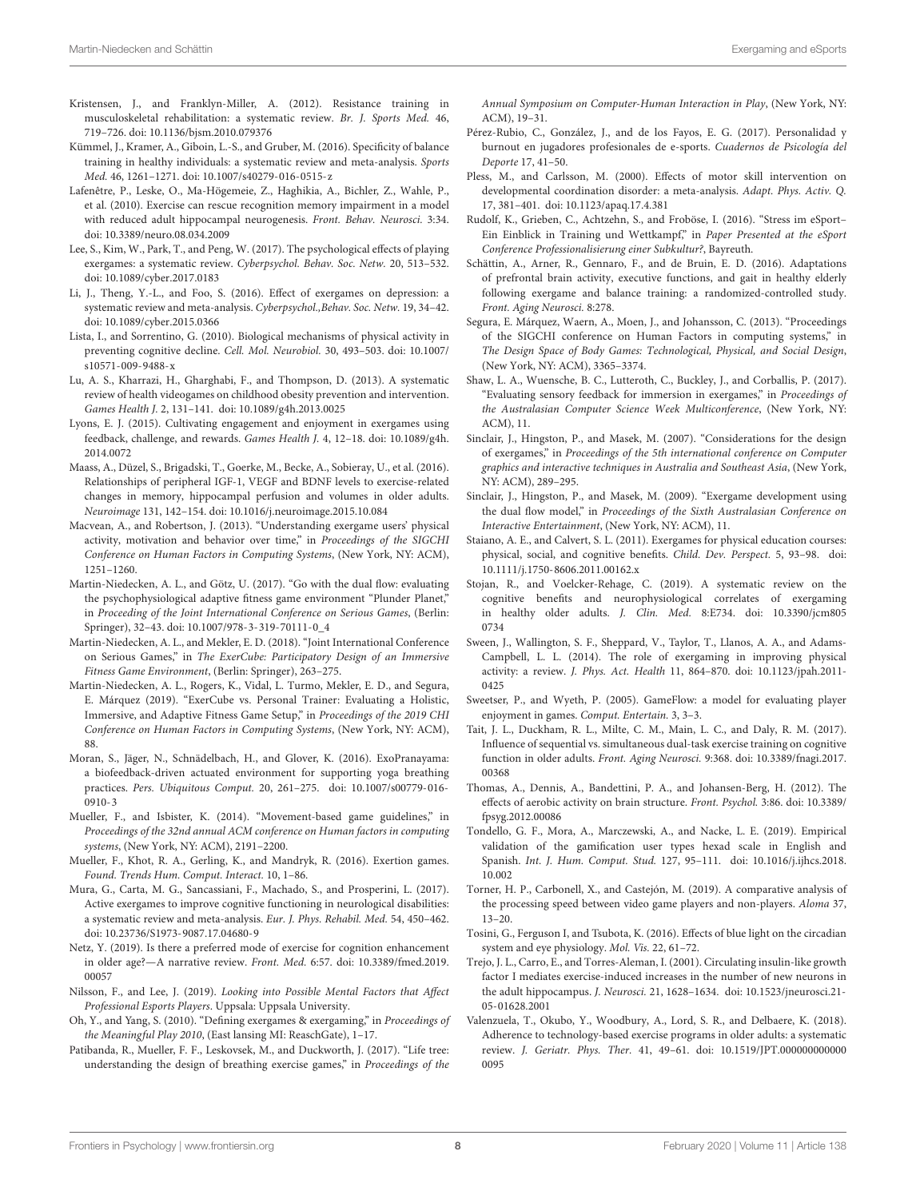- <span id="page-7-11"></span>Kristensen, J., and Franklyn-Miller, A. (2012). Resistance training in musculoskeletal rehabilitation: a systematic review. Br. J. Sports Med. 46, 719–726. [doi: 10.1136/bjsm.2010.079376](https://doi.org/10.1136/bjsm.2010.079376)
- <span id="page-7-13"></span>Kümmel, J., Kramer, A., Giboin, L.-S., and Gruber, M. (2016). Specificity of balance training in healthy individuals: a systematic review and meta-analysis. Sports Med. 46, 1261–1271. [doi: 10.1007/s40279-016-0515-z](https://doi.org/10.1007/s40279-016-0515-z)
- <span id="page-7-7"></span>Lafenêtre, P., Leske, O., Ma-Högemeie, Z., Haghikia, A., Bichler, Z., Wahle, P., et al. (2010). Exercise can rescue recognition memory impairment in a model with reduced adult hippocampal neurogenesis. Front. Behav. Neurosci. 3:34. [doi: 10.3389/neuro.08.034.2009](https://doi.org/10.3389/neuro.08.034.2009)
- <span id="page-7-24"></span>Lee, S., Kim, W., Park, T., and Peng, W. (2017). The psychological effects of playing exergames: a systematic review. Cyberpsychol. Behav. Soc. Netw. 20, 513–532. [doi: 10.1089/cyber.2017.0183](https://doi.org/10.1089/cyber.2017.0183)
- <span id="page-7-23"></span>Li, J., Theng, Y.-L., and Foo, S. (2016). Effect of exergames on depression: a systematic review and meta-analysis. Cyberpsychol.,Behav. Soc. Netw. 19, 34–42. [doi: 10.1089/cyber.2015.0366](https://doi.org/10.1089/cyber.2015.0366)
- <span id="page-7-10"></span>Lista, I., and Sorrentino, G. (2010). Biological mechanisms of physical activity in preventing cognitive decline. Cell. Mol. Neurobiol. 30, 493–503. [doi: 10.1007/](https://doi.org/10.1007/s10571-009-9488-x) [s10571-009-9488-x](https://doi.org/10.1007/s10571-009-9488-x)
- <span id="page-7-26"></span>Lu, A. S., Kharrazi, H., Gharghabi, F., and Thompson, D. (2013). A systematic review of health videogames on childhood obesity prevention and intervention. Games Health J. 2, 131–141. [doi: 10.1089/g4h.2013.0025](https://doi.org/10.1089/g4h.2013.0025)
- <span id="page-7-30"></span>Lyons, E. J. (2015). Cultivating engagement and enjoyment in exergames using feedback, challenge, and rewards. Games Health J. 4, 12–18. [doi: 10.1089/g4h.](https://doi.org/10.1089/g4h.2014.0072) [2014.0072](https://doi.org/10.1089/g4h.2014.0072)
- <span id="page-7-9"></span>Maass, A., Düzel, S., Brigadski, T., Goerke, M., Becke, A., Sobieray, U., et al. (2016). Relationships of peripheral IGF-1, VEGF and BDNF levels to exercise-related changes in memory, hippocampal perfusion and volumes in older adults. Neuroimage 131, 142–154. [doi: 10.1016/j.neuroimage.2015.10.084](https://doi.org/10.1016/j.neuroimage.2015.10.084)
- <span id="page-7-29"></span>Macvean, A., and Robertson, J. (2013). "Understanding exergame users' physical activity, motivation and behavior over time," in Proceedings of the SIGCHI Conference on Human Factors in Computing Systems, (New York, NY: ACM), 1251–1260.
- <span id="page-7-31"></span>Martin-Niedecken, A. L., and Götz, U. (2017). "Go with the dual flow: evaluating the psychophysiological adaptive fitness game environment "Plunder Planet," in Proceeding of the Joint International Conference on Serious Games, (Berlin: Springer), 32–43. [doi: 10.1007/978-3-319-70111-0\\_4](https://doi.org/10.1007/978-3-319-70111-0_4)
- <span id="page-7-16"></span>Martin-Niedecken, A. L., and Mekler, E. D. (2018). "Joint International Conference on Serious Games," in The ExerCube: Participatory Design of an Immersive Fitness Game Environment, (Berlin: Springer), 263–275.
- <span id="page-7-18"></span>Martin-Niedecken, A. L., Rogers, K., Vidal, L. Turmo, Mekler, E. D., and Segura, E. Márquez (2019). "ExerCube vs. Personal Trainer: Evaluating a Holistic, Immersive, and Adaptive Fitness Game Setup," in Proceedings of the 2019 CHI Conference on Human Factors in Computing Systems, (New York, NY: ACM), 88.
- <span id="page-7-37"></span>Moran, S., Jäger, N., Schnädelbach, H., and Glover, K. (2016). ExoPranayama: a biofeedback-driven actuated environment for supporting yoga breathing practices. Pers. Ubiquitous Comput. 20, 261–275. [doi: 10.1007/s00779-016-](https://doi.org/10.1007/s00779-016-0910-3) [0910-3](https://doi.org/10.1007/s00779-016-0910-3)
- <span id="page-7-35"></span>Mueller, F., and Isbister, K. (2014). "Movement-based game guidelines," in Proceedings of the 32nd annual ACM conference on Human factors in computing systems, (New York, NY: ACM), 2191–2200.
- <span id="page-7-15"></span>Mueller, F., Khot, R. A., Gerling, K., and Mandryk, R. (2016). Exertion games. Found. Trends Hum. Comput. Interact. 10, 1–86.
- <span id="page-7-20"></span>Mura, G., Carta, M. G., Sancassiani, F., Machado, S., and Prosperini, L. (2017). Active exergames to improve cognitive functioning in neurological disabilities: a systematic review and meta-analysis. Eur. J. Phys. Rehabil. Med. 54, 450–462. [doi: 10.23736/S1973-9087.17.04680-9](https://doi.org/10.23736/S1973-9087.17.04680-9)
- <span id="page-7-6"></span>Netz, Y. (2019). Is there a preferred mode of exercise for cognition enhancement in older age?—A narrative review. Front. Med. 6:57. [doi: 10.3389/fmed.2019.](https://doi.org/10.3389/fmed.2019.00057) [00057](https://doi.org/10.3389/fmed.2019.00057)
- <span id="page-7-4"></span>Nilsson, F., and Lee, J. (2019). Looking into Possible Mental Factors that Affect Professional Esports Players. Uppsala: Uppsala University.
- <span id="page-7-14"></span>Oh, Y., and Yang, S. (2010). "Defining exergames & exergaming," in Proceedings of the Meaningful Play 2010, (East lansing MI: ReaschGate), 1–17.
- <span id="page-7-38"></span>Patibanda, R., Mueller, F. F., Leskovsek, M., and Duckworth, J. (2017). "Life tree: understanding the design of breathing exercise games," in Proceedings of the

Annual Symposium on Computer-Human Interaction in Play, (New York, NY: ACM), 19–31.

- <span id="page-7-1"></span>Pérez-Rubio, C., González, J., and de los Fayos, E. G. (2017). Personalidad y burnout en jugadores profesionales de e-sports. Cuadernos de Psicología del Deporte 17, 41–50.
- <span id="page-7-12"></span>Pless, M., and Carlsson, M. (2000). Effects of motor skill intervention on developmental coordination disorder: a meta-analysis. Adapt. Phys. Activ. Q. 17, 381–401. [doi: 10.1123/apaq.17.4.381](https://doi.org/10.1123/apaq.17.4.381)
- <span id="page-7-0"></span>Rudolf, K., Grieben, C., Achtzehn, S., and Froböse, I. (2016). "Stress im eSport– Ein Einblick in Training und Wettkampf," in Paper Presented at the eSport Conference Professionalisierung einer Subkultur?, Bayreuth.
- <span id="page-7-25"></span>Schättin, A., Arner, R., Gennaro, F., and de Bruin, E. D. (2016). Adaptations of prefrontal brain activity, executive functions, and gait in healthy elderly following exergame and balance training: a randomized-controlled study. Front. Aging Neurosci. 8:278.
- <span id="page-7-17"></span>Segura, E. Márquez, Waern, A., Moen, J., and Johansson, C. (2013). "Proceedings of the SIGCHI conference on Human Factors in computing systems," in The Design Space of Body Games: Technological, Physical, and Social Design, (New York, NY: ACM), 3365–3374.
- <span id="page-7-36"></span>Shaw, L. A., Wuensche, B. C., Lutteroth, C., Buckley, J., and Corballis, P. (2017). "Evaluating sensory feedback for immersion in exergames," in Proceedings of the Australasian Computer Science Week Multiconference, (New York, NY: ACM), 11.
- <span id="page-7-33"></span>Sinclair, J., Hingston, P., and Masek, M. (2007). "Considerations for the design of exergames," in Proceedings of the 5th international conference on Computer graphics and interactive techniques in Australia and Southeast Asia, (New York, NY: ACM), 289–295.
- <span id="page-7-34"></span>Sinclair, J., Hingston, P., and Masek, M. (2009). "Exergame development using the dual flow model," in Proceedings of the Sixth Australasian Conference on Interactive Entertainment, (New York, NY: ACM), 11.
- <span id="page-7-19"></span>Staiano, A. E., and Calvert, S. L. (2011). Exergames for physical education courses: physical, social, and cognitive benefits. Child. Dev. Perspect. 5, 93–98. [doi:](https://doi.org/10.1111/j.1750-8606.2011.00162.x) [10.1111/j.1750-8606.2011.00162.x](https://doi.org/10.1111/j.1750-8606.2011.00162.x)
- <span id="page-7-21"></span>Stojan, R., and Voelcker-Rehage, C. (2019). A systematic review on the cognitive benefits and neurophysiological correlates of exergaming in healthy older adults. J. Clin. Med. 8:E734. [doi: 10.3390/jcm805](https://doi.org/10.3390/jcm8050734) [0734](https://doi.org/10.3390/jcm8050734)
- <span id="page-7-22"></span>Sween, J., Wallington, S. F., Sheppard, V., Taylor, T., Llanos, A. A., and Adams-Campbell, L. L. (2014). The role of exergaming in improving physical activity: a review. J. Phys. Act. Health 11, 864–870. [doi: 10.1123/jpah.2011-](https://doi.org/10.1123/jpah.2011-0425) [0425](https://doi.org/10.1123/jpah.2011-0425)
- <span id="page-7-32"></span>Sweetser, P., and Wyeth, P. (2005). GameFlow: a model for evaluating player enjoyment in games. Comput. Entertain. 3, 3–3.
- Tait, J. L., Duckham, R. L., Milte, C. M., Main, L. C., and Daly, R. M. (2017). Influence of sequential vs. simultaneous dual-task exercise training on cognitive function in older adults. Front. Aging Neurosci. 9:368. [doi: 10.3389/fnagi.2017.](https://doi.org/10.3389/fnagi.2017.00368) [00368](https://doi.org/10.3389/fnagi.2017.00368)
- <span id="page-7-5"></span>Thomas, A., Dennis, A., Bandettini, P. A., and Johansen-Berg, H. (2012). The effects of aerobic activity on brain structure. Front. Psychol. 3:86. [doi: 10.3389/](https://doi.org/10.3389/fpsyg.2012.00086) [fpsyg.2012.00086](https://doi.org/10.3389/fpsyg.2012.00086)
- <span id="page-7-27"></span>Tondello, G. F., Mora, A., Marczewski, A., and Nacke, L. E. (2019). Empirical validation of the gamification user types hexad scale in English and Spanish. Int. J. Hum. Comput. Stud. 127, 95–111. [doi: 10.1016/j.ijhcs.2018.](https://doi.org/10.1016/j.ijhcs.2018.10.002) [10.002](https://doi.org/10.1016/j.ijhcs.2018.10.002)
- <span id="page-7-3"></span>Torner, H. P., Carbonell, X., and Castejón, M. (2019). A comparative analysis of the processing speed between video game players and non-players. Aloma 37, 13–20.
- <span id="page-7-2"></span>Tosini, G., Ferguson I, and Tsubota, K. (2016). Effects of blue light on the circadian system and eye physiology. Mol. Vis. 22, 61–72.
- <span id="page-7-8"></span>Trejo, J. L., Carro, E., and Torres-Aleman, I. (2001). Circulating insulin-like growth factor I mediates exercise-induced increases in the number of new neurons in the adult hippocampus. J. Neurosci. 21, 1628–1634. [doi: 10.1523/jneurosci.21-](https://doi.org/10.1523/jneurosci.21-05-01628.2001) [05-01628.2001](https://doi.org/10.1523/jneurosci.21-05-01628.2001)
- <span id="page-7-28"></span>Valenzuela, T., Okubo, Y., Woodbury, A., Lord, S. R., and Delbaere, K. (2018). Adherence to technology-based exercise programs in older adults: a systematic review. J. Geriatr. Phys. Ther. 41, 49–61. [doi: 10.1519/JPT.000000000000](https://doi.org/10.1519/JPT.0000000000000095) [0095](https://doi.org/10.1519/JPT.0000000000000095)